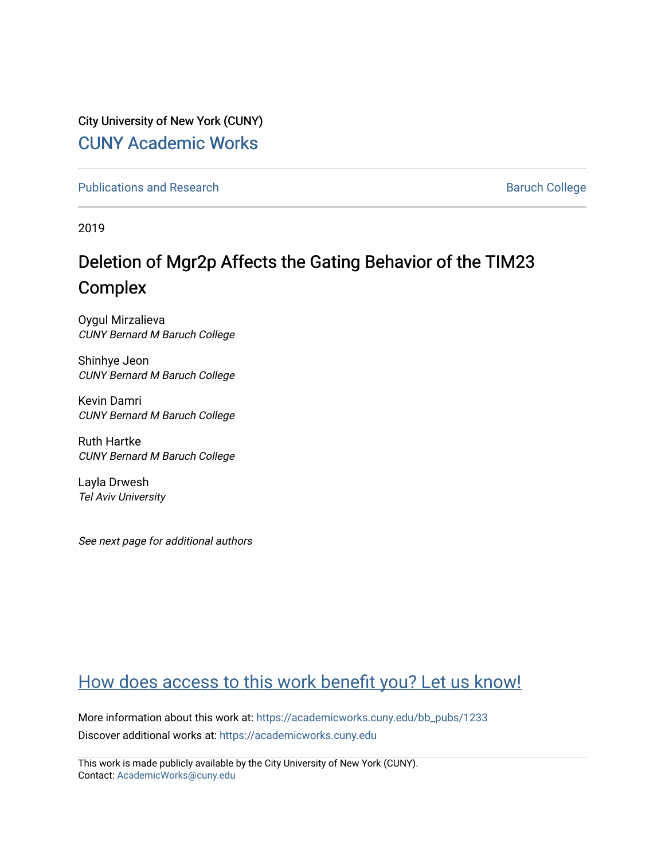City University of New York (CUNY) [CUNY Academic Works](https://academicworks.cuny.edu/) 

[Publications and Research](https://academicworks.cuny.edu/bb_pubs) **Baruch College** Baruch College

2019

# Deletion of Mgr2p Affects the Gating Behavior of the TIM23 Complex

Oygul Mirzalieva CUNY Bernard M Baruch College

Shinhye Jeon CUNY Bernard M Baruch College

Kevin Damri CUNY Bernard M Baruch College

Ruth Hartke CUNY Bernard M Baruch College

Layla Drwesh Tel Aviv University

See next page for additional authors

# [How does access to this work benefit you? Let us know!](http://ols.cuny.edu/academicworks/?ref=https://academicworks.cuny.edu/bb_pubs/1233)

More information about this work at: [https://academicworks.cuny.edu/bb\\_pubs/1233](https://academicworks.cuny.edu/bb_pubs/1233) Discover additional works at: [https://academicworks.cuny.edu](https://academicworks.cuny.edu/?)

This work is made publicly available by the City University of New York (CUNY). Contact: [AcademicWorks@cuny.edu](mailto:AcademicWorks@cuny.edu)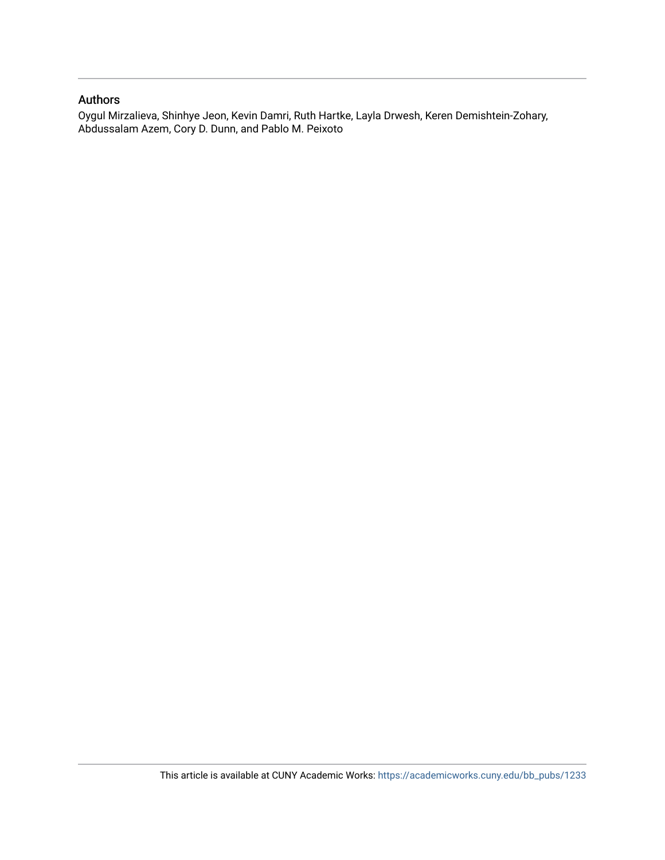### Authors

Oygul Mirzalieva, Shinhye Jeon, Kevin Damri, Ruth Hartke, Layla Drwesh, Keren Demishtein-Zohary, Abdussalam Azem, Cory D. Dunn, and Pablo M. Peixoto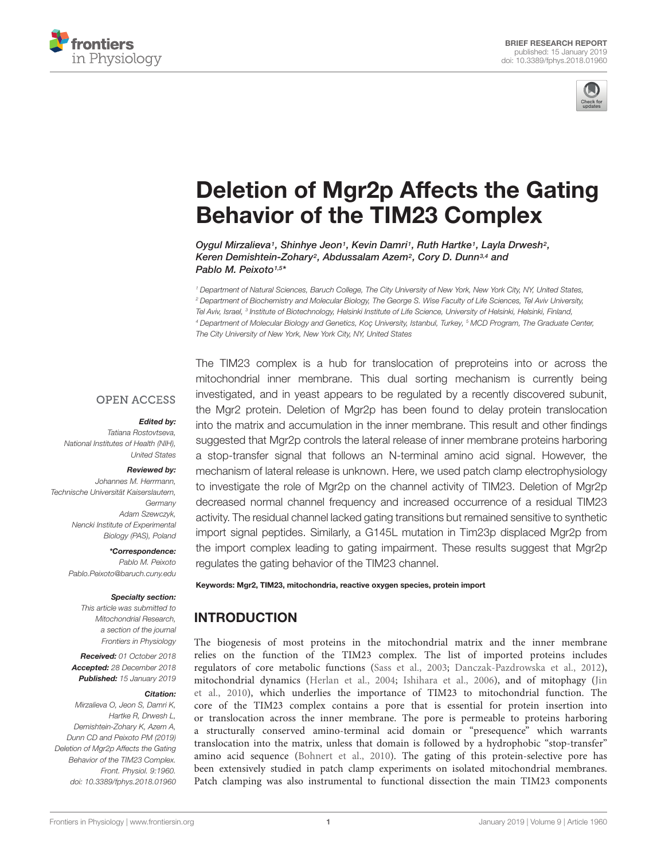



# [Deletion of Mgr2p Affects the Gating](https://www.frontiersin.org/articles/10.3389/fphys.2018.01960/full) Behavior of the TIM23 Complex

[Oygul Mirzalieva](http://loop.frontiersin.org/people/665801/overview)<sup>1</sup>, [Shinhye Jeon](http://loop.frontiersin.org/people/623741/overview)<sup>1</sup>, Kevin Damri<sup>1</sup>, [Ruth Hartke](http://loop.frontiersin.org/people/637993/overview)<sup>1</sup>, Layla Drwesh<sup>2</sup>, Keren Demishtein-Zohary<sup>2</sup>, [Abdussalam Azem](http://loop.frontiersin.org/people/55843/overview)<sup>2</sup>, [Cory D. Dunn](http://loop.frontiersin.org/people/624659/overview)<sup>3,4</sup> and [Pablo M. Peixoto](http://loop.frontiersin.org/people/153459/overview)<sup>1,5\*</sup>

<sup>1</sup> Department of Natural Sciences, Baruch College, The City University of New York, New York City, NY, United States, <sup>2</sup> Department of Biochemistry and Molecular Biology, The George S. Wise Faculty of Life Sciences, Tel Aviv University, Tel Aviv, Israel, <sup>3</sup> Institute of Biotechnology, Helsinki Institute of Life Science, University of Helsinki, Helsinki, Finland, 4 Department of Molecular Biology and Genetics, Koç University, Istanbul, Turkey, <sup>5</sup> MCD Program, The Graduate Center, The City University of New York, New York City, NY, United States

#### **OPEN ACCESS**

#### Edited by:

Tatiana Rostovtseva, National Institutes of Health (NIH), United States

#### Reviewed by:

Johannes M. Herrmann, Technische Universität Kaiserslautern, **Germany** Adam Szewczyk, Nencki Institute of Experimental Biology (PAS), Poland

> \*Correspondence: Pablo M. Peixoto Pablo.Peixoto@baruch.cuny.edu

#### Specialty section:

This article was submitted to Mitochondrial Research, a section of the journal Frontiers in Physiology

Received: 01 October 2018 Accepted: 28 December 2018 Published: 15 January 2019

#### Citation:

Mirzalieva O, Jeon S, Damri K, Hartke R, Drwesh L, Demishtein-Zohary K, Azem A, Dunn CD and Peixoto PM (2019) Deletion of Mgr2p Affects the Gating Behavior of the TIM23 Complex. Front. Physiol. 9:1960. doi: [10.3389/fphys.2018.01960](https://doi.org/10.3389/fphys.2018.01960) The TIM23 complex is a hub for translocation of preproteins into or across the mitochondrial inner membrane. This dual sorting mechanism is currently being investigated, and in yeast appears to be regulated by a recently discovered subunit, the Mgr2 protein. Deletion of Mgr2p has been found to delay protein translocation into the matrix and accumulation in the inner membrane. This result and other findings suggested that Mgr2p controls the lateral release of inner membrane proteins harboring a stop-transfer signal that follows an N-terminal amino acid signal. However, the mechanism of lateral release is unknown. Here, we used patch clamp electrophysiology to investigate the role of Mgr2p on the channel activity of TIM23. Deletion of Mgr2p decreased normal channel frequency and increased occurrence of a residual TIM23 activity. The residual channel lacked gating transitions but remained sensitive to synthetic import signal peptides. Similarly, a G145L mutation in Tim23p displaced Mgr2p from the import complex leading to gating impairment. These results suggest that Mgr2p regulates the gating behavior of the TIM23 channel.

#### Keywords: Mgr2, TIM23, mitochondria, reactive oxygen species, protein import

# INTRODUCTION

The biogenesis of most proteins in the mitochondrial matrix and the inner membrane relies on the function of the TIM23 complex. The list of imported proteins includes regulators of core metabolic functions [\(Sass et al.,](#page-6-0) [2003;](#page-6-0) [Danczak-Pazdrowska et al.,](#page-5-0) [2012\)](#page-5-0), mitochondrial dynamics [\(Herlan et al.,](#page-5-1) [2004;](#page-5-1) [Ishihara et al.,](#page-5-2) [2006\)](#page-5-2), and of mitophagy [\(Jin](#page-5-3) [et al.,](#page-5-3) [2010\)](#page-5-3), which underlies the importance of TIM23 to mitochondrial function. The core of the TIM23 complex contains a pore that is essential for protein insertion into or translocation across the inner membrane. The pore is permeable to proteins harboring a structurally conserved amino-terminal acid domain or "presequence" which warrants translocation into the matrix, unless that domain is followed by a hydrophobic "stop-transfer" amino acid sequence [\(Bohnert et al.,](#page-5-4) [2010\)](#page-5-4). The gating of this protein-selective pore has been extensively studied in patch clamp experiments on isolated mitochondrial membranes. Patch clamping was also instrumental to functional dissection the main TIM23 components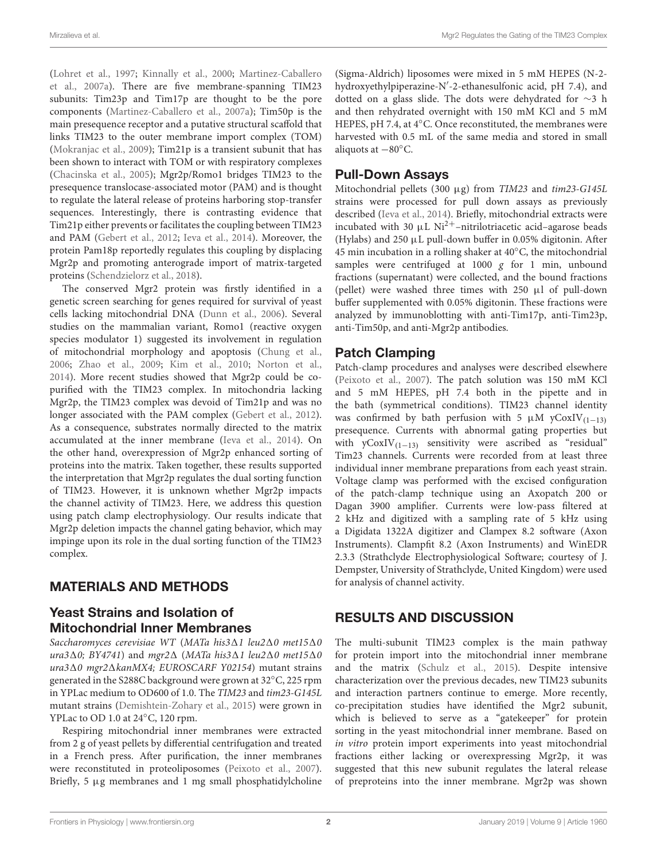[\(Lohret et al.,](#page-5-5) [1997;](#page-5-5) [Kinnally et al.,](#page-5-6) [2000;](#page-5-6) [Martinez-Caballero](#page-5-7) [et al.,](#page-5-7) [2007a\)](#page-5-7). There are five membrane-spanning TIM23 subunits: Tim23p and Tim17p are thought to be the pore components [\(Martinez-Caballero et al.,](#page-5-7) [2007a\)](#page-5-7); Tim50p is the main presequence receptor and a putative structural scaffold that links TIM23 to the outer membrane import complex (TOM) [\(Mokranjac et al.,](#page-5-8) [2009\)](#page-5-8); Tim21p is a transient subunit that has been shown to interact with TOM or with respiratory complexes [\(Chacinska et al.,](#page-5-9) [2005\)](#page-5-9); Mgr2p/Romo1 bridges TIM23 to the presequence translocase-associated motor (PAM) and is thought to regulate the lateral release of proteins harboring stop-transfer sequences. Interestingly, there is contrasting evidence that Tim21p either prevents or facilitates the coupling between TIM23 and PAM [\(Gebert et al.,](#page-5-10) [2012;](#page-5-10) [Ieva et al.,](#page-5-11) [2014\)](#page-5-11). Moreover, the protein Pam18p reportedly regulates this coupling by displacing Mgr2p and promoting anterograde import of matrix-targeted proteins [\(Schendzielorz et al.,](#page-6-1) [2018\)](#page-6-1).

The conserved Mgr2 protein was firstly identified in a genetic screen searching for genes required for survival of yeast cells lacking mitochondrial DNA [\(Dunn et al.,](#page-5-12) [2006\)](#page-5-12). Several studies on the mammalian variant, Romo1 (reactive oxygen species modulator 1) suggested its involvement in regulation of mitochondrial morphology and apoptosis [\(Chung et al.,](#page-5-13) [2006;](#page-5-13) [Zhao et al.,](#page-6-2) [2009;](#page-6-2) [Kim et al.,](#page-5-14) [2010;](#page-5-14) [Norton et al.,](#page-5-15) [2014\)](#page-5-15). More recent studies showed that Mgr2p could be copurified with the TIM23 complex. In mitochondria lacking Mgr2p, the TIM23 complex was devoid of Tim21p and was no longer associated with the PAM complex [\(Gebert et al.,](#page-5-10) [2012\)](#page-5-10). As a consequence, substrates normally directed to the matrix accumulated at the inner membrane [\(Ieva et al.,](#page-5-11) [2014\)](#page-5-11). On the other hand, overexpression of Mgr2p enhanced sorting of proteins into the matrix. Taken together, these results supported the interpretation that Mgr2p regulates the dual sorting function of TIM23. However, it is unknown whether Mgr2p impacts the channel activity of TIM23. Here, we address this question using patch clamp electrophysiology. Our results indicate that Mgr2p deletion impacts the channel gating behavior, which may impinge upon its role in the dual sorting function of the TIM23 complex.

# MATERIALS AND METHODS

## Yeast Strains and Isolation of Mitochondrial Inner Membranes

Saccharomyces cerevisiae WT (MATa his $3\Delta1$  leu $2\Delta0$  met15 $\Delta0$ ura3 $\Delta$ 0; BY4741) and mgr2 $\Delta$  (MATa his3 $\Delta$ 1 leu2 $\Delta$ 0 met15 $\Delta$ 0  $ura3\Delta0$  mgr2 $\Delta kanMX4$ ; EUROSCARF Y02154) mutant strains generated in the S288C background were grown at 32◦C, 225 rpm in YPLac medium to OD600 of 1.0. The TIM23 and tim23-G145L mutant strains [\(Demishtein-Zohary et al.,](#page-5-16) [2015\)](#page-5-16) were grown in YPLac to OD 1.0 at 24◦C, 120 rpm.

Respiring mitochondrial inner membranes were extracted from 2 g of yeast pellets by differential centrifugation and treated in a French press. After purification, the inner membranes were reconstituted in proteoliposomes [\(Peixoto et al.,](#page-6-3) [2007\)](#page-6-3). Briefly, 5 µg membranes and 1 mg small phosphatidylcholine (Sigma-Aldrich) liposomes were mixed in 5 mM HEPES (N-2 hydroxyethylpiperazine-N'-2-ethanesulfonic acid, pH 7.4), and dotted on a glass slide. The dots were dehydrated for ∼3 h and then rehydrated overnight with 150 mM KCl and 5 mM HEPES, pH 7.4, at 4℃. Once reconstituted, the membranes were harvested with 0.5 mL of the same media and stored in small aliquots at −80◦C.

### Pull-Down Assays

Mitochondrial pellets (300 µg) from TIM23 and tim23-G145L strains were processed for pull down assays as previously described [\(Ieva et al.,](#page-5-11) [2014\)](#page-5-11). Briefly, mitochondrial extracts were incubated with 30  $\mu$ L Ni<sup>2+</sup>–nitrilotriacetic acid–agarose beads (Hylabs) and 250  $\mu$ L pull-down buffer in 0.05% digitonin. After 45 min incubation in a rolling shaker at 40◦C, the mitochondrial samples were centrifuged at 1000  $g$  for 1 min, unbound fractions (supernatant) were collected, and the bound fractions (pellet) were washed three times with 250 µl of pull-down buffer supplemented with 0.05% digitonin. These fractions were analyzed by immunoblotting with anti-Tim17p, anti-Tim23p, anti-Tim50p, and anti-Mgr2p antibodies.

# Patch Clamping

Patch-clamp procedures and analyses were described elsewhere [\(Peixoto et al.,](#page-6-3) [2007\)](#page-6-3). The patch solution was 150 mM KCl and 5 mM HEPES, pH 7.4 both in the pipette and in the bath (symmetrical conditions). TIM23 channel identity was confirmed by bath perfusion with 5  $\mu$ M yCoxIV<sub>(1−13)</sub> presequence. Currents with abnormal gating properties but with  $yCoxIV_{(1-13)}$  sensitivity were ascribed as "residual" Tim23 channels. Currents were recorded from at least three individual inner membrane preparations from each yeast strain. Voltage clamp was performed with the excised configuration of the patch-clamp technique using an Axopatch 200 or Dagan 3900 amplifier. Currents were low-pass filtered at 2 kHz and digitized with a sampling rate of 5 kHz using a Digidata 1322A digitizer and Clampex 8.2 software (Axon Instruments). Clampfit 8.2 (Axon Instruments) and WinEDR 2.3.3 (Strathclyde Electrophysiological Software; courtesy of J. Dempster, University of Strathclyde, United Kingdom) were used for analysis of channel activity.

# RESULTS AND DISCUSSION

The multi-subunit TIM23 complex is the main pathway for protein import into the mitochondrial inner membrane and the matrix [\(Schulz et al.,](#page-6-4) [2015\)](#page-6-4). Despite intensive characterization over the previous decades, new TIM23 subunits and interaction partners continue to emerge. More recently, co-precipitation studies have identified the Mgr2 subunit, which is believed to serve as a "gatekeeper" for protein sorting in the yeast mitochondrial inner membrane. Based on in vitro protein import experiments into yeast mitochondrial fractions either lacking or overexpressing Mgr2p, it was suggested that this new subunit regulates the lateral release of preproteins into the inner membrane. Mgr2p was shown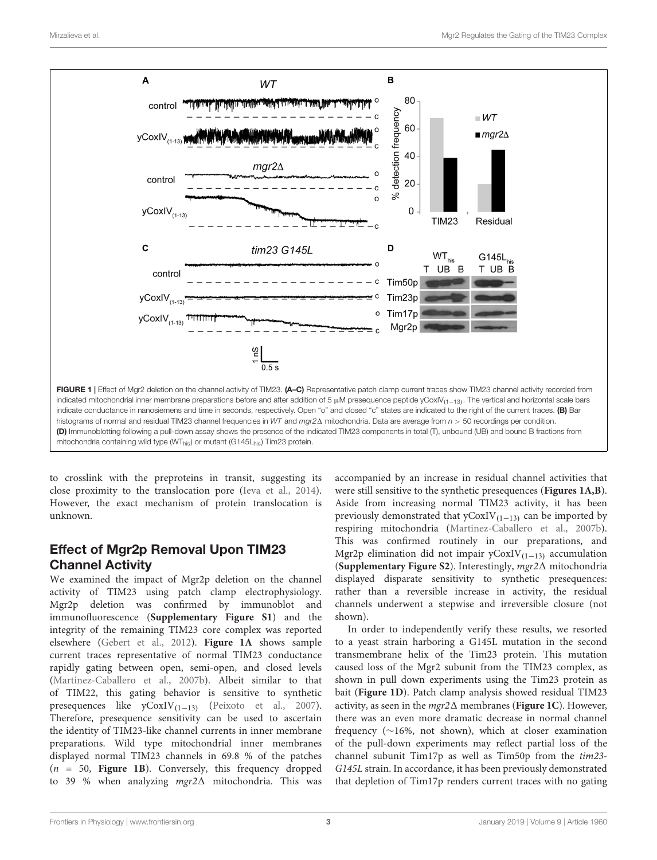

<span id="page-4-0"></span>to crosslink with the preproteins in transit, suggesting its close proximity to the translocation pore [\(Ieva et al.,](#page-5-11) [2014\)](#page-5-11). However, the exact mechanism of protein translocation is unknown.

# Effect of Mgr2p Removal Upon TIM23 Channel Activity

We examined the impact of Mgr2p deletion on the channel activity of TIM23 using patch clamp electrophysiology. Mgr2p deletion was confirmed by immunoblot and immunofluorescence (**[Supplementary Figure S1](#page-5-17)**) and the integrity of the remaining TIM23 core complex was reported elsewhere [\(Gebert et al.,](#page-5-10) [2012\)](#page-5-10). **[Figure 1A](#page-4-0)** shows sample current traces representative of normal TIM23 conductance rapidly gating between open, semi-open, and closed levels [\(Martinez-Caballero et al.,](#page-5-18) [2007b\)](#page-5-18). Albeit similar to that of TIM22, this gating behavior is sensitive to synthetic presequences like yCoxIV(1−13) [\(Peixoto et al.,](#page-6-3) [2007\)](#page-6-3). Therefore, presequence sensitivity can be used to ascertain the identity of TIM23-like channel currents in inner membrane preparations. Wild type mitochondrial inner membranes displayed normal TIM23 channels in 69.8 % of the patches (n = 50, **[Figure 1B](#page-4-0)**). Conversely, this frequency dropped to 39 % when analyzing  $mgr2\Delta$  mitochondria. This was

accompanied by an increase in residual channel activities that were still sensitive to the synthetic presequences (**[Figures 1A,B](#page-4-0)**). Aside from increasing normal TIM23 activity, it has been previously demonstrated that  $yCoxIV_{(1-13)}$  can be imported by respiring mitochondria [\(Martinez-Caballero et al.,](#page-5-18) [2007b\)](#page-5-18). This was confirmed routinely in our preparations, and Mgr2p elimination did not impair  $yCoxIV_{(1-13)}$  accumulation (**[Supplementary Figure S2](#page-5-17)**). Interestingly, mgr21 mitochondria displayed disparate sensitivity to synthetic presequences: rather than a reversible increase in activity, the residual channels underwent a stepwise and irreversible closure (not shown).

In order to independently verify these results, we resorted to a yeast strain harboring a G145L mutation in the second transmembrane helix of the Tim23 protein. This mutation caused loss of the Mgr2 subunit from the TIM23 complex, as shown in pull down experiments using the Tim23 protein as bait (**[Figure 1D](#page-4-0)**). Patch clamp analysis showed residual TIM23 activity, as seen in the  $mqr2\Delta$  membranes (**[Figure 1C](#page-4-0)**). However, there was an even more dramatic decrease in normal channel frequency (∼16%, not shown), which at closer examination of the pull-down experiments may reflect partial loss of the channel subunit Tim17p as well as Tim50p from the tim23- G145L strain. In accordance, it has been previously demonstrated that depletion of Tim17p renders current traces with no gating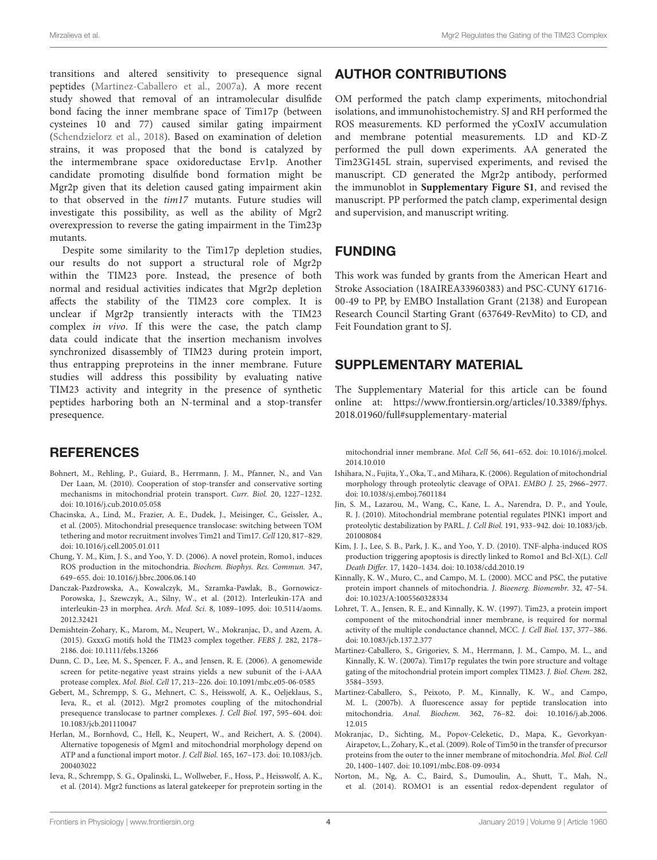transitions and altered sensitivity to presequence signal peptides [\(Martinez-Caballero et al.,](#page-5-7) [2007a\)](#page-5-7). A more recent study showed that removal of an intramolecular disulfide bond facing the inner membrane space of Tim17p (between cysteines 10 and 77) caused similar gating impairment [\(Schendzielorz et al.,](#page-6-1) [2018\)](#page-6-1). Based on examination of deletion strains, it was proposed that the bond is catalyzed by the intermembrane space oxidoreductase Erv1p. Another candidate promoting disulfide bond formation might be Mgr2p given that its deletion caused gating impairment akin to that observed in the tim17 mutants. Future studies will investigate this possibility, as well as the ability of Mgr2 overexpression to reverse the gating impairment in the Tim23p mutants.

Despite some similarity to the Tim17p depletion studies, our results do not support a structural role of Mgr2p within the TIM23 pore. Instead, the presence of both normal and residual activities indicates that Mgr2p depletion affects the stability of the TIM23 core complex. It is unclear if Mgr2p transiently interacts with the TIM23 complex in vivo. If this were the case, the patch clamp data could indicate that the insertion mechanism involves synchronized disassembly of TIM23 during protein import, thus entrapping preproteins in the inner membrane. Future studies will address this possibility by evaluating native TIM23 activity and integrity in the presence of synthetic peptides harboring both an N-terminal and a stop-transfer presequence.

### **REFERENCES**

- <span id="page-5-4"></span>Bohnert, M., Rehling, P., Guiard, B., Herrmann, J. M., Pfanner, N., and Van Der Laan, M. (2010). Cooperation of stop-transfer and conservative sorting mechanisms in mitochondrial protein transport. Curr. Biol. 20, 1227–1232. [doi: 10.1016/j.cub.2010.05.058](https://doi.org/10.1016/j.cub.2010.05.058)
- <span id="page-5-9"></span>Chacinska, A., Lind, M., Frazier, A. E., Dudek, J., Meisinger, C., Geissler, A., et al. (2005). Mitochondrial presequence translocase: switching between TOM tethering and motor recruitment involves Tim21 and Tim17. Cell 120, 817–829. [doi: 10.1016/j.cell.2005.01.011](https://doi.org/10.1016/j.cell.2005.01.011)
- <span id="page-5-13"></span>Chung, Y. M., Kim, J. S., and Yoo, Y. D. (2006). A novel protein, Romo1, induces ROS production in the mitochondria. Biochem. Biophys. Res. Commun. 347, 649–655. [doi: 10.1016/j.bbrc.2006.06.140](https://doi.org/10.1016/j.bbrc.2006.06.140)
- <span id="page-5-0"></span>Danczak-Pazdrowska, A., Kowalczyk, M., Szramka-Pawlak, B., Gornowicz-Porowska, J., Szewczyk, A., Silny, W., et al. (2012). Interleukin-17A and interleukin-23 in morphea. Arch. Med. Sci. 8, 1089–1095. [doi: 10.5114/aoms.](https://doi.org/10.5114/aoms.2012.32421) [2012.32421](https://doi.org/10.5114/aoms.2012.32421)
- <span id="page-5-16"></span>Demishtein-Zohary, K., Marom, M., Neupert, W., Mokranjac, D., and Azem, A. (2015). GxxxG motifs hold the TIM23 complex together. FEBS J. 282, 2178– 2186. [doi: 10.1111/febs.13266](https://doi.org/10.1111/febs.13266)
- <span id="page-5-12"></span>Dunn, C. D., Lee, M. S., Spencer, F. A., and Jensen, R. E. (2006). A genomewide screen for petite-negative yeast strains yields a new subunit of the i-AAA protease complex. Mol. Biol. Cell 17, 213–226. [doi: 10.1091/mbc.e05-06-0585](https://doi.org/10.1091/mbc.e05-06-0585)
- <span id="page-5-10"></span>Gebert, M., Schrempp, S. G., Mehnert, C. S., Heisswolf, A. K., Oeljeklaus, S., Ieva, R., et al. (2012). Mgr2 promotes coupling of the mitochondrial presequence translocase to partner complexes. J. Cell Biol. 197, 595–604. [doi:](https://doi.org/10.1083/jcb.201110047) [10.1083/jcb.201110047](https://doi.org/10.1083/jcb.201110047)
- <span id="page-5-1"></span>Herlan, M., Bornhovd, C., Hell, K., Neupert, W., and Reichert, A. S. (2004). Alternative topogenesis of Mgm1 and mitochondrial morphology depend on ATP and a functional import motor. J. Cell Biol. 165, 167–173. [doi: 10.1083/jcb.](https://doi.org/10.1083/jcb.200403022) [200403022](https://doi.org/10.1083/jcb.200403022)
- <span id="page-5-11"></span>Ieva, R., Schrempp, S. G., Opalinski, L., Wollweber, F., Hoss, P., Heisswolf, A. K., et al. (2014). Mgr2 functions as lateral gatekeeper for preprotein sorting in the

### AUTHOR CONTRIBUTIONS

OM performed the patch clamp experiments, mitochondrial isolations, and immunohistochemistry. SJ and RH performed the ROS measurements. KD performed the yCoxIV accumulation and membrane potential measurements. LD and KD-Z performed the pull down experiments. AA generated the Tim23G145L strain, supervised experiments, and revised the manuscript. CD generated the Mgr2p antibody, performed the immunoblot in **[Supplementary Figure S1](#page-5-17)**, and revised the manuscript. PP performed the patch clamp, experimental design and supervision, and manuscript writing.

### FUNDING

This work was funded by grants from the American Heart and Stroke Association (18AIREA33960383) and PSC-CUNY 61716- 00-49 to PP, by EMBO Installation Grant (2138) and European Research Council Starting Grant (637649-RevMito) to CD, and Feit Foundation grant to SJ.

### <span id="page-5-17"></span>SUPPLEMENTARY MATERIAL

The Supplementary Material for this article can be found online at: [https://www.frontiersin.org/articles/10.3389/fphys.](https://www.frontiersin.org/articles/10.3389/fphys.2018.01960/full#supplementary-material) [2018.01960/full#supplementary-material](https://www.frontiersin.org/articles/10.3389/fphys.2018.01960/full#supplementary-material)

mitochondrial inner membrane. Mol. Cell 56, 641–652. [doi: 10.1016/j.molcel.](https://doi.org/10.1016/j.molcel.2014.10.010) [2014.10.010](https://doi.org/10.1016/j.molcel.2014.10.010)

- <span id="page-5-2"></span>Ishihara, N., Fujita, Y., Oka, T., and Mihara, K. (2006). Regulation of mitochondrial morphology through proteolytic cleavage of OPA1. EMBO J. 25, 2966–2977. [doi: 10.1038/sj.emboj.7601184](https://doi.org/10.1038/sj.emboj.7601184)
- <span id="page-5-3"></span>Jin, S. M., Lazarou, M., Wang, C., Kane, L. A., Narendra, D. P., and Youle, R. J. (2010). Mitochondrial membrane potential regulates PINK1 import and proteolytic destabilization by PARL. J. Cell Biol. 191, 933–942. [doi: 10.1083/jcb.](https://doi.org/10.1083/jcb.201008084) [201008084](https://doi.org/10.1083/jcb.201008084)
- <span id="page-5-14"></span>Kim, J. J., Lee, S. B., Park, J. K., and Yoo, Y. D. (2010). TNF-alpha-induced ROS production triggering apoptosis is directly linked to Romo1 and Bcl-X(L). Cell Death Differ. 17, 1420–1434. [doi: 10.1038/cdd.2010.19](https://doi.org/10.1038/cdd.2010.19)
- <span id="page-5-6"></span>Kinnally, K. W., Muro, C., and Campo, M. L. (2000). MCC and PSC, the putative protein import channels of mitochondria. J. Bioenerg. Biomembr. 32, 47–54. [doi: 10.1023/A:1005560328334](https://doi.org/10.1023/A:1005560328334)
- <span id="page-5-5"></span>Lohret, T. A., Jensen, R. E., and Kinnally, K. W. (1997). Tim23, a protein import component of the mitochondrial inner membrane, is required for normal activity of the multiple conductance channel, MCC. J. Cell Biol. 137, 377–386. [doi: 10.1083/jcb.137.2.377](https://doi.org/10.1083/jcb.137.2.377)
- <span id="page-5-7"></span>Martinez-Caballero, S., Grigoriev, S. M., Herrmann, J. M., Campo, M. L., and Kinnally, K. W. (2007a). Tim17p regulates the twin pore structure and voltage gating of the mitochondrial protein import complex TIM23. J. Biol. Chem. 282, 3584–3593.
- <span id="page-5-18"></span>Martinez-Caballero, S., Peixoto, P. M., Kinnally, K. W., and Campo, M. L. (2007b). A fluorescence assay for peptide translocation into mitochondria. Anal. Biochem. 362, 76–82. [doi: 10.1016/j.ab.2006.](https://doi.org/10.1016/j.ab.2006.12.015) [12.015](https://doi.org/10.1016/j.ab.2006.12.015)
- <span id="page-5-8"></span>Mokranjac, D., Sichting, M., Popov-Celeketic, D., Mapa, K., Gevorkyan-Airapetov, L., Zohary, K., et al. (2009). Role of Tim50 in the transfer of precursor proteins from the outer to the inner membrane of mitochondria. Mol. Biol. Cell 20, 1400–1407. [doi: 10.1091/mbc.E08-09-0934](https://doi.org/10.1091/mbc.E08-09-0934)
- <span id="page-5-15"></span>Norton, M., Ng, A. C., Baird, S., Dumoulin, A., Shutt, T., Mah, N., et al. (2014). ROMO1 is an essential redox-dependent regulator of